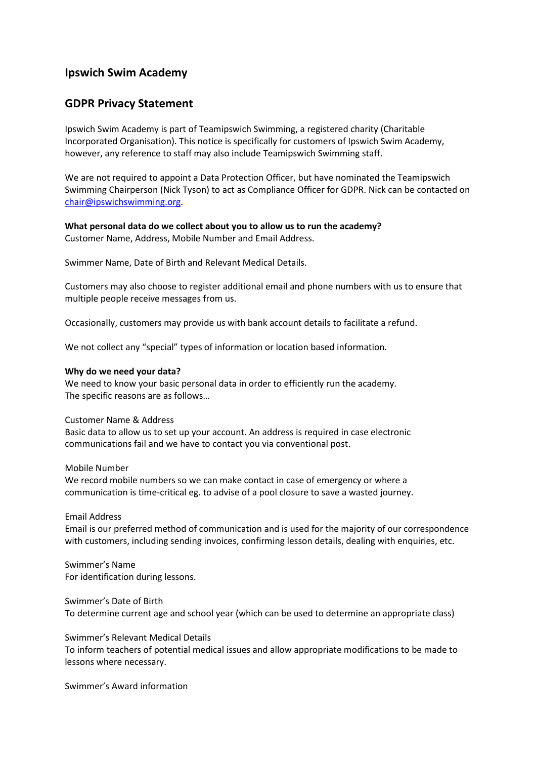# **Ipswich Swim Academy**

# **GDPR Privacy Statement**

Ipswich Swim Academy is part of Teamipswich Swimming, a registered charity (Charitable Incorporated Organisation). This notice is specifically for customers of Ipswich Swim Academy, however, any reference to staff may also include Teamipswich Swimming staff.

We are not required to appoint a Data Protection Officer, but have nominated the Teamipswich Swimming Chairperson (Nick Tyson) to act as Compliance Officer for GDPR. Nick can be contacted on chair@ipswichswimming.org.

**What personal data do we collect about you to allow us to run the academy?**  Customer Name, Address, Mobile Number and Email Address.

Swimmer Name, Date of Birth and Relevant Medical Details.

Customers may also choose to register additional email and phone numbers with us to ensure that multiple people receive messages from us.

Occasionally, customers may provide us with bank account details to facilitate a refund.

We not collect any "special" types of information or location based information.

#### **Why do we need your data?**

We need to know your basic personal data in order to efficiently run the academy. The specific reasons are as follows…

#### Customer Name & Address

Basic data to allow us to set up your account. An address is required in case electronic communications fail and we have to contact you via conventional post.

#### Mobile Number

We record mobile numbers so we can make contact in case of emergency or where a communication is time-critical eg. to advise of a pool closure to save a wasted journey.

## Email Address

Email is our preferred method of communication and is used for the majority of our correspondence with customers, including sending invoices, confirming lesson details, dealing with enquiries, etc.

Swimmer's Name For identification during lessons.

Swimmer's Date of Birth To determine current age and school year (which can be used to determine an appropriate class)

#### Swimmer's Relevant Medical Details

To inform teachers of potential medical issues and allow appropriate modifications to be made to lessons where necessary.

Swimmer's Award information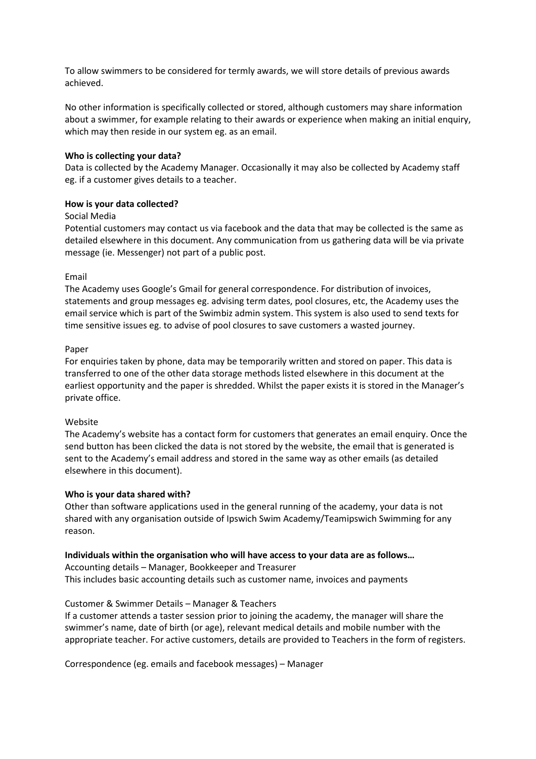To allow swimmers to be considered for termly awards, we will store details of previous awards achieved.

No other information is specifically collected or stored, although customers may share information about a swimmer, for example relating to their awards or experience when making an initial enquiry, which may then reside in our system eg. as an email.

# **Who is collecting your data?**

Data is collected by the Academy Manager. Occasionally it may also be collected by Academy staff eg. if a customer gives details to a teacher.

# **How is your data collected?**

## Social Media

Potential customers may contact us via facebook and the data that may be collected is the same as detailed elsewhere in this document. Any communication from us gathering data will be via private message (ie. Messenger) not part of a public post.

# Email

The Academy uses Google's Gmail for general correspondence. For distribution of invoices, statements and group messages eg. advising term dates, pool closures, etc, the Academy uses the email service which is part of the Swimbiz admin system. This system is also used to send texts for time sensitive issues eg. to advise of pool closures to save customers a wasted journey.

# Paper

For enquiries taken by phone, data may be temporarily written and stored on paper. This data is transferred to one of the other data storage methods listed elsewhere in this document at the earliest opportunity and the paper is shredded. Whilst the paper exists it is stored in the Manager's private office.

## Website

The Academy's website has a contact form for customers that generates an email enquiry. Once the send button has been clicked the data is not stored by the website, the email that is generated is sent to the Academy's email address and stored in the same way as other emails (as detailed elsewhere in this document).

## **Who is your data shared with?**

Other than software applications used in the general running of the academy, your data is not shared with any organisation outside of Ipswich Swim Academy/Teamipswich Swimming for any reason.

# **Individuals within the organisation who will have access to your data are as follows…**

Accounting details – Manager, Bookkeeper and Treasurer This includes basic accounting details such as customer name, invoices and payments

# Customer & Swimmer Details – Manager & Teachers

If a customer attends a taster session prior to joining the academy, the manager will share the swimmer's name, date of birth (or age), relevant medical details and mobile number with the appropriate teacher. For active customers, details are provided to Teachers in the form of registers.

Correspondence (eg. emails and facebook messages) – Manager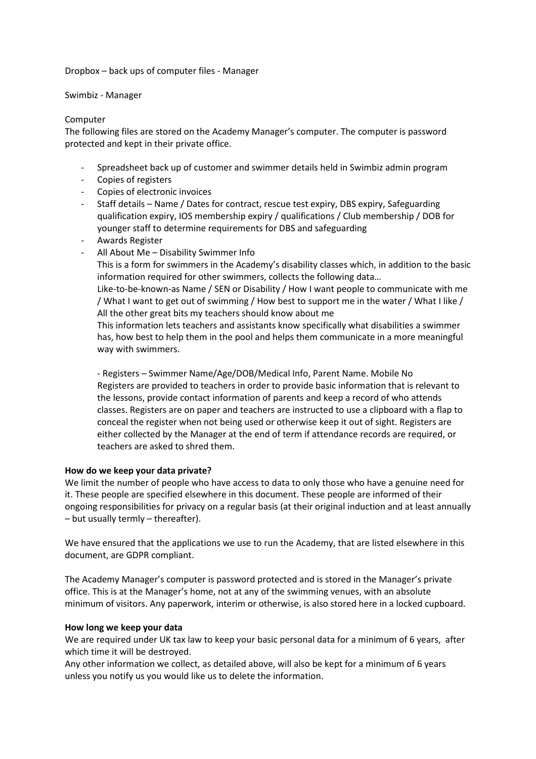Dropbox – back ups of computer files - Manager

Swimbiz - Manager

#### Computer

The following files are stored on the Academy Manager's computer. The computer is password protected and kept in their private office.

- Spreadsheet back up of customer and swimmer details held in Swimbiz admin program
- Copies of registers
- Copies of electronic invoices
- Staff details Name / Dates for contract, rescue test expiry, DBS expiry, Safeguarding qualification expiry, IOS membership expiry / qualifications / Club membership / DOB for younger staff to determine requirements for DBS and safeguarding
- Awards Register
- All About Me Disability Swimmer Info

This is a form for swimmers in the Academy's disability classes which, in addition to the basic information required for other swimmers, collects the following data…

Like-to-be-known-as Name / SEN or Disability / How I want people to communicate with me / What I want to get out of swimming / How best to support me in the water / What I like / All the other great bits my teachers should know about me

This information lets teachers and assistants know specifically what disabilities a swimmer has, how best to help them in the pool and helps them communicate in a more meaningful way with swimmers.

- Registers – Swimmer Name/Age/DOB/Medical Info, Parent Name. Mobile No Registers are provided to teachers in order to provide basic information that is relevant to the lessons, provide contact information of parents and keep a record of who attends classes. Registers are on paper and teachers are instructed to use a clipboard with a flap to conceal the register when not being used or otherwise keep it out of sight. Registers are either collected by the Manager at the end of term if attendance records are required, or teachers are asked to shred them.

## **How do we keep your data private?**

We limit the number of people who have access to data to only those who have a genuine need for it. These people are specified elsewhere in this document. These people are informed of their ongoing responsibilities for privacy on a regular basis (at their original induction and at least annually – but usually termly – thereafter).

We have ensured that the applications we use to run the Academy, that are listed elsewhere in this document, are GDPR compliant.

The Academy Manager's computer is password protected and is stored in the Manager's private office. This is at the Manager's home, not at any of the swimming venues, with an absolute minimum of visitors. Any paperwork, interim or otherwise, is also stored here in a locked cupboard.

## **How long we keep your data**

We are required under UK tax law to keep your basic personal data for a minimum of 6 years, after which time it will be destroyed.

Any other information we collect, as detailed above, will also be kept for a minimum of 6 years unless you notify us you would like us to delete the information.